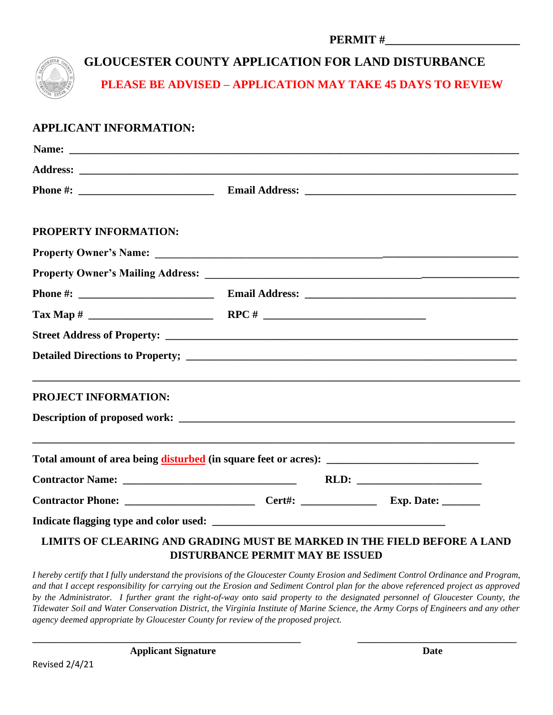| <b>PERMIT#</b> |  |
|----------------|--|
|----------------|--|



# **GLOUCESTER COUNTY APPLICATION FOR LAND DISTURBANCE**

**PLEASE BE ADVISED – APPLICATION MAY TAKE 45 DAYS TO REVIEW**

### **APPLICANT INFORMATION:**

| <b>PROPERTY INFORMATION:</b>                                             |                                         |  |
|--------------------------------------------------------------------------|-----------------------------------------|--|
|                                                                          |                                         |  |
|                                                                          |                                         |  |
|                                                                          |                                         |  |
|                                                                          |                                         |  |
|                                                                          |                                         |  |
|                                                                          |                                         |  |
| <b>PROJECT INFORMATION:</b>                                              |                                         |  |
| <b>Description of proposed work:</b>                                     |                                         |  |
|                                                                          |                                         |  |
|                                                                          |                                         |  |
|                                                                          |                                         |  |
|                                                                          |                                         |  |
| LIMITS OF CLEARING AND GRADING MUST BE MARKED IN THE FIELD BEFORE A LAND | <b>DISTURBANCE PERMIT MAY BE ISSUED</b> |  |

*I hereby certify that I fully understand the provisions of the Gloucester County Erosion and Sediment Control Ordinance and Program, and that I accept responsibility for carrying out the Erosion and Sediment Control plan for the above referenced project as approved by the Administrator. I further grant the right-of-way onto said property to the designated personnel of Gloucester County, the Tidewater Soil and Water Conservation District, the Virginia Institute of Marine Science, the Army Corps of Engineers and any other agency deemed appropriate by Gloucester County for review of the proposed project.*

**\_\_\_\_\_\_\_\_\_\_\_\_\_\_\_\_\_\_\_\_\_\_\_\_\_\_\_\_\_\_\_\_\_\_\_\_\_\_\_\_\_\_\_\_\_\_\_\_\_\_\_\_\_\_ \_\_\_\_\_\_\_\_\_\_\_\_\_\_\_\_\_\_\_\_\_\_\_\_\_\_\_\_\_\_\_\_**

**Applicant Signature Date**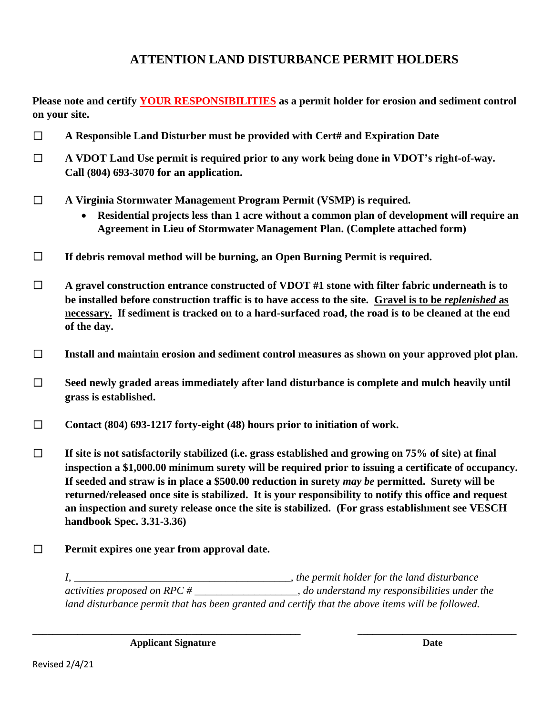## **ATTENTION LAND DISTURBANCE PERMIT HOLDERS**

**Please note and certify YOUR RESPONSIBILITIES as a permit holder for erosion and sediment control on your site.**

- ☐ **A Responsible Land Disturber must be provided with Cert# and Expiration Date**
- ☐ **A VDOT Land Use permit is required prior to any work being done in VDOT's right-of-way. Call (804) 693-3070 for an application.**
- ☐ **A Virginia Stormwater Management Program Permit (VSMP) is required.**
	- **Residential projects less than 1 acre without a common plan of development will require an Agreement in Lieu of Stormwater Management Plan. (Complete attached form)**
- ☐ **If debris removal method will be burning, an Open Burning Permit is required.**

☐ **A gravel construction entrance constructed of VDOT #1 stone with filter fabric underneath is to be installed before construction traffic is to have access to the site. Gravel is to be** *replenished* **as necessary. If sediment is tracked on to a hard-surfaced road, the road is to be cleaned at the end of the day.**

- ☐ **Install and maintain erosion and sediment control measures as shown on your approved plot plan.**
- ☐ **Seed newly graded areas immediately after land disturbance is complete and mulch heavily until grass is established.**
- ☐ **Contact (804) 693-1217 forty-eight (48) hours prior to initiation of work.**
- ☐ **If site is not satisfactorily stabilized (i.e. grass established and growing on 75% of site) at final inspection a \$1,000.00 minimum surety will be required prior to issuing a certificate of occupancy. If seeded and straw is in place a \$500.00 reduction in surety** *may be* **permitted. Surety will be returned/released once site is stabilized. It is your responsibility to notify this office and request an inspection and surety release once the site is stabilized. (For grass establishment see VESCH handbook Spec. 3.31-3.36)**
- ☐ **Permit expires one year from approval date.**

*I, \_\_\_\_\_\_\_\_\_\_\_\_\_\_\_\_\_\_\_\_\_\_\_\_\_\_\_\_\_\_\_\_\_\_\_\_\_\_\_\_, the permit holder for the land disturbance activities proposed on RPC # \_\_\_\_\_\_\_\_\_\_\_\_\_\_\_\_\_\_\_, do understand my responsibilities under the land disturbance permit that has been granted and certify that the above items will be followed.*

**\_\_\_\_\_\_\_\_\_\_\_\_\_\_\_\_\_\_\_\_\_\_\_\_\_\_\_\_\_\_\_\_\_\_\_\_\_\_\_\_\_\_\_\_\_\_\_\_\_\_\_\_\_\_ \_\_\_\_\_\_\_\_\_\_\_\_\_\_\_\_\_\_\_\_\_\_\_\_\_\_\_\_\_\_\_\_**

**Applicant Signature Date**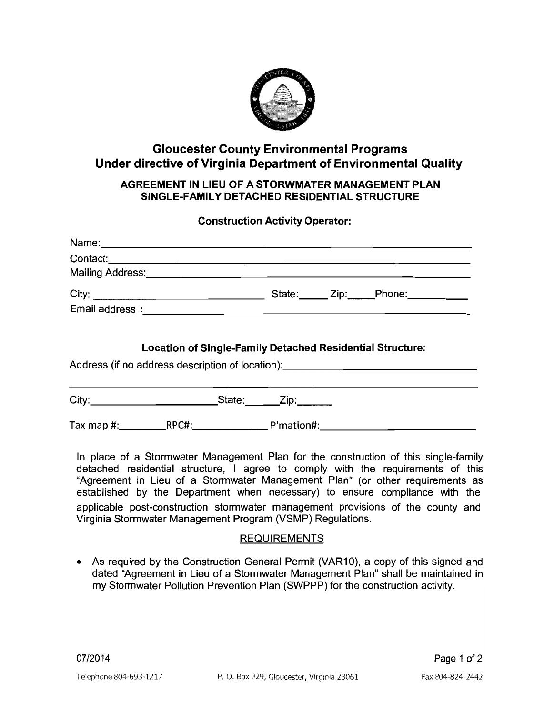

### **Gloucester County Environmental Programs** Under directive of Virginia Department of Environmental Quality

#### AGREEMENT IN LIEU OF A STORWMATER MANAGEMENT PLAN SINGLE-FAMILY DETACHED RESIDENTIAL STRUCTURE

### **Construction Activity Operator:**

| Name: Name: Name: Name: Name: Name: Name: Name: Name: Name: Name: Name: Name: Name: Name: Name: Name: Name: Name: Name: Name: Name: Name: Name: Name: Name: Name: Name: Name: Name: Name: Name: Name: Name: Name: Name: Name:        |  |  |            |  |  |  |  |  |
|--------------------------------------------------------------------------------------------------------------------------------------------------------------------------------------------------------------------------------------|--|--|------------|--|--|--|--|--|
| Contact: Contact:                                                                                                                                                                                                                    |  |  |            |  |  |  |  |  |
| Mailing Address: <u>Contract of Contract and Contract and Contract and Contract and Contract and Contract and Contract and Contract and Contract and Contract and Contract and Contract and Contract and Contract and Contract a</u> |  |  |            |  |  |  |  |  |
|                                                                                                                                                                                                                                      |  |  |            |  |  |  |  |  |
|                                                                                                                                                                                                                                      |  |  |            |  |  |  |  |  |
| <b>Location of Single-Family Detached Residential Structure:</b><br>Address (if no address description of location): _______________________________                                                                                 |  |  |            |  |  |  |  |  |
| City: City: City: City: City: City: City:                                                                                                                                                                                            |  |  |            |  |  |  |  |  |
| Tax map #: RPC#:                                                                                                                                                                                                                     |  |  | P'mation#: |  |  |  |  |  |

In place of a Stormwater Management Plan for the construction of this single-family detached residential structure, I agree to comply with the requirements of this "Agreement in Lieu of a Stormwater Management Plan" (or other requirements as established by the Department when necessary) to ensure compliance with the applicable post-construction stormwater management provisions of the county and Virginia Stormwater Management Program (VSMP) Regulations.

#### **REQUIREMENTS**

• As required by the Construction General Permit (VAR10), a copy of this signed and dated "Agreement in Lieu of a Stormwater Management Plan" shall be maintained in my Stormwater Pollution Prevention Plan (SWPPP) for the construction activity.